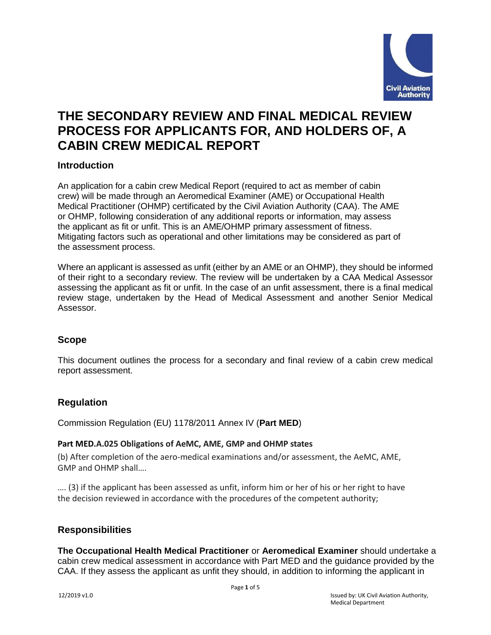

# **THE SECONDARY REVIEW AND FINAL MEDICAL REVIEW PROCESS FOR APPLICANTS FOR, AND HOLDERS OF, A CABIN CREW MEDICAL REPORT**

#### **Introduction**

An application for a cabin crew Medical Report (required to act as member of cabin crew) will be made through an Aeromedical Examiner (AME) or Occupational Health Medical Practitioner (OHMP) certificated by the Civil Aviation Authority (CAA). The AME or OHMP, following consideration of any additional reports or information, may assess the applicant as fit or unfit. This is an AME/OHMP primary assessment of fitness. Mitigating factors such as operational and other limitations may be considered as part of the assessment process.

Where an applicant is assessed as unfit (either by an AME or an OHMP), they should be informed of their right to a secondary review. The review will be undertaken by a CAA Medical Assessor assessing the applicant as fit or unfit. In the case of an unfit assessment, there is a final medical review stage, undertaken by the Head of Medical Assessment and another Senior Medical Assessor.

#### **Scope**

This document outlines the process for a secondary and final review of a cabin crew medical report assessment.

#### **Regulation**

Commission Regulation (EU) 1178/2011 Annex IV (**Part MED**)

#### **Part MED.A.025 Obligations of AeMC, AME, GMP and OHMP states**

(b) After completion of the aero-medical examinations and/or assessment, the AeMC, AME, GMP and OHMP shall….

…. (3) if the applicant has been assessed as unfit, inform him or her of his or her right to have the decision reviewed in accordance with the procedures of the competent authority;

#### **Responsibilities**

**The Occupational Health Medical Practitioner** or **Aeromedical Examiner** should undertake a cabin crew medical assessment in accordance with Part MED and the guidance provided by the CAA. If they assess the applicant as unfit they should, in addition to informing the applicant in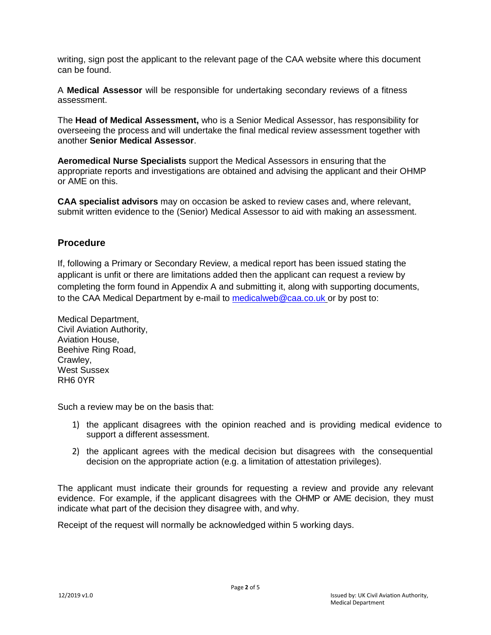writing, sign post the applicant to the relevant page of the CAA website where this document can be found.

A **Medical Assessor** will be responsible for undertaking secondary reviews of a fitness assessment.

The **Head of Medical Assessment,** who is a Senior Medical Assessor, has responsibility for overseeing the process and will undertake the final medical review assessment together with another **Senior Medical Assessor**.

**Aeromedical Nurse Specialists** support the Medical Assessors in ensuring that the appropriate reports and investigations are obtained and advising the applicant and their OHMP or AME on this.

**CAA specialist advisors** may on occasion be asked to review cases and, where relevant, submit written evidence to the (Senior) Medical Assessor to aid with making an assessment.

#### **Procedure**

If, following a Primary or Secondary Review, a medical report has been issued stating the applicant is unfit or there are limitations added then the applicant can request a review by completing the form found in Appendix A and submitting it, along with supporting documents, to the CAA Medical Department by e-mail to [medicalweb@caa.co.uk](mailto:medicalweb@caa.co.uk) or by post to:

Medical Department, Civil Aviation Authority, Aviation House, Beehive Ring Road, Crawley, West Sussex RH6 0YR

Such a review may be on the basis that:

- 1) the applicant disagrees with the opinion reached and is providing medical evidence to support a different assessment.
- 2) the applicant agrees with the medical decision but disagrees with the consequential decision on the appropriate action (e.g. a limitation of attestation privileges).

The applicant must indicate their grounds for requesting a review and provide any relevant evidence. For example, if the applicant disagrees with the OHMP or AME decision, they must indicate what part of the decision they disagree with, and why.

Receipt of the request will normally be acknowledged within 5 working days.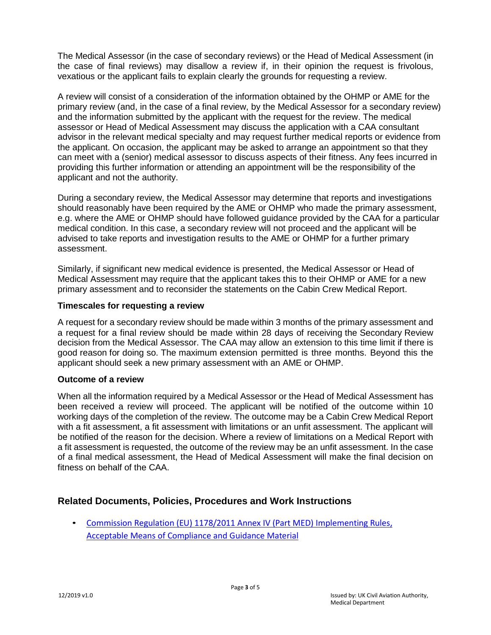The Medical Assessor (in the case of secondary reviews) or the Head of Medical Assessment (in the case of final reviews) may disallow a review if, in their opinion the request is frivolous, vexatious or the applicant fails to explain clearly the grounds for requesting a review.

A review will consist of a consideration of the information obtained by the OHMP or AME for the primary review (and, in the case of a final review, by the Medical Assessor for a secondary review) and the information submitted by the applicant with the request for the review. The medical assessor or Head of Medical Assessment may discuss the application with a CAA consultant advisor in the relevant medical specialty and may request further medical reports or evidence from the applicant. On occasion, the applicant may be asked to arrange an appointment so that they can meet with a (senior) medical assessor to discuss aspects of their fitness. Any fees incurred in providing this further information or attending an appointment will be the responsibility of the applicant and not the authority.

During a secondary review, the Medical Assessor may determine that reports and investigations should reasonably have been required by the AME or OHMP who made the primary assessment, e.g. where the AME or OHMP should have followed guidance provided by the CAA for a particular medical condition. In this case, a secondary review will not proceed and the applicant will be advised to take reports and investigation results to the AME or OHMP for a further primary assessment.

Similarly, if significant new medical evidence is presented, the Medical Assessor or Head of Medical Assessment may require that the applicant takes this to their OHMP or AME for a new primary assessment and to reconsider the statements on the Cabin Crew Medical Report.

#### **Timescales for requesting a review**

A request for a secondary review should be made within 3 months of the primary assessment and a request for a final review should be made within 28 days of receiving the Secondary Review decision from the Medical Assessor. The CAA may allow an extension to this time limit if there is good reason for doing so. The maximum extension permitted is three months. Beyond this the applicant should seek a new primary assessment with an AME or OHMP.

#### **Outcome of a review**

When all the information required by a Medical Assessor or the Head of Medical Assessment has been received a review will proceed. The applicant will be notified of the outcome within 10 working days of the completion of the review. The outcome may be a Cabin Crew Medical Report with a fit assessment, a fit assessment with limitations or an unfit assessment. The applicant will be notified of the reason for the decision. Where a review of limitations on a Medical Report with a fit assessment is requested, the outcome of the review may be an unfit assessment. In the case of a final medical assessment, the Head of Medical Assessment will make the final decision on fitness on behalf of the CAA.

### **Related Documents, Policies, Procedures and Work Instructions**

• Commission Regulation (EU) 1178/2011 Annex IV (Part MED) [Implementing Rules,](https://www.easa.europa.eu/regulations) Acceptable Means [of Compliance](https://www.easa.europa.eu/regulations) and Guidance Material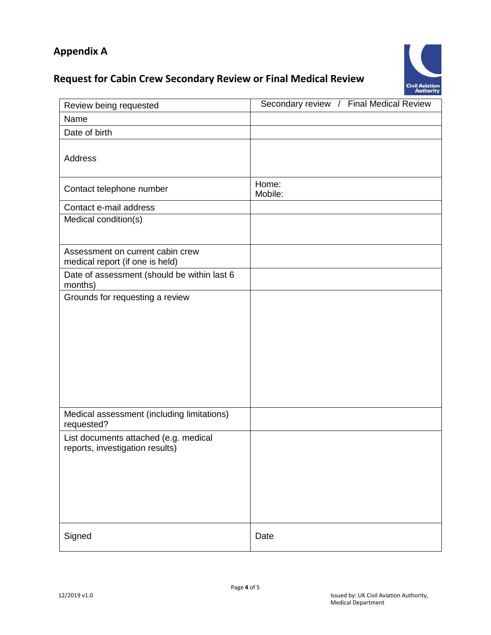# **Appendix A**

# **Request for Cabin Crew Secondary Review or Final Medical Review**



| Review being requested                                                   | Secondary review / Final Medical Review |
|--------------------------------------------------------------------------|-----------------------------------------|
| Name                                                                     |                                         |
| Date of birth                                                            |                                         |
| Address                                                                  |                                         |
| Contact telephone number                                                 | Home:<br>Mobile:                        |
| Contact e-mail address                                                   |                                         |
| Medical condition(s)                                                     |                                         |
| Assessment on current cabin crew<br>medical report (if one is held)      |                                         |
| Date of assessment (should be within last 6<br>months)                   |                                         |
| Grounds for requesting a review                                          |                                         |
| Medical assessment (including limitations)<br>requested?                 |                                         |
| List documents attached (e.g. medical<br>reports, investigation results) |                                         |
| Signed                                                                   | Date                                    |